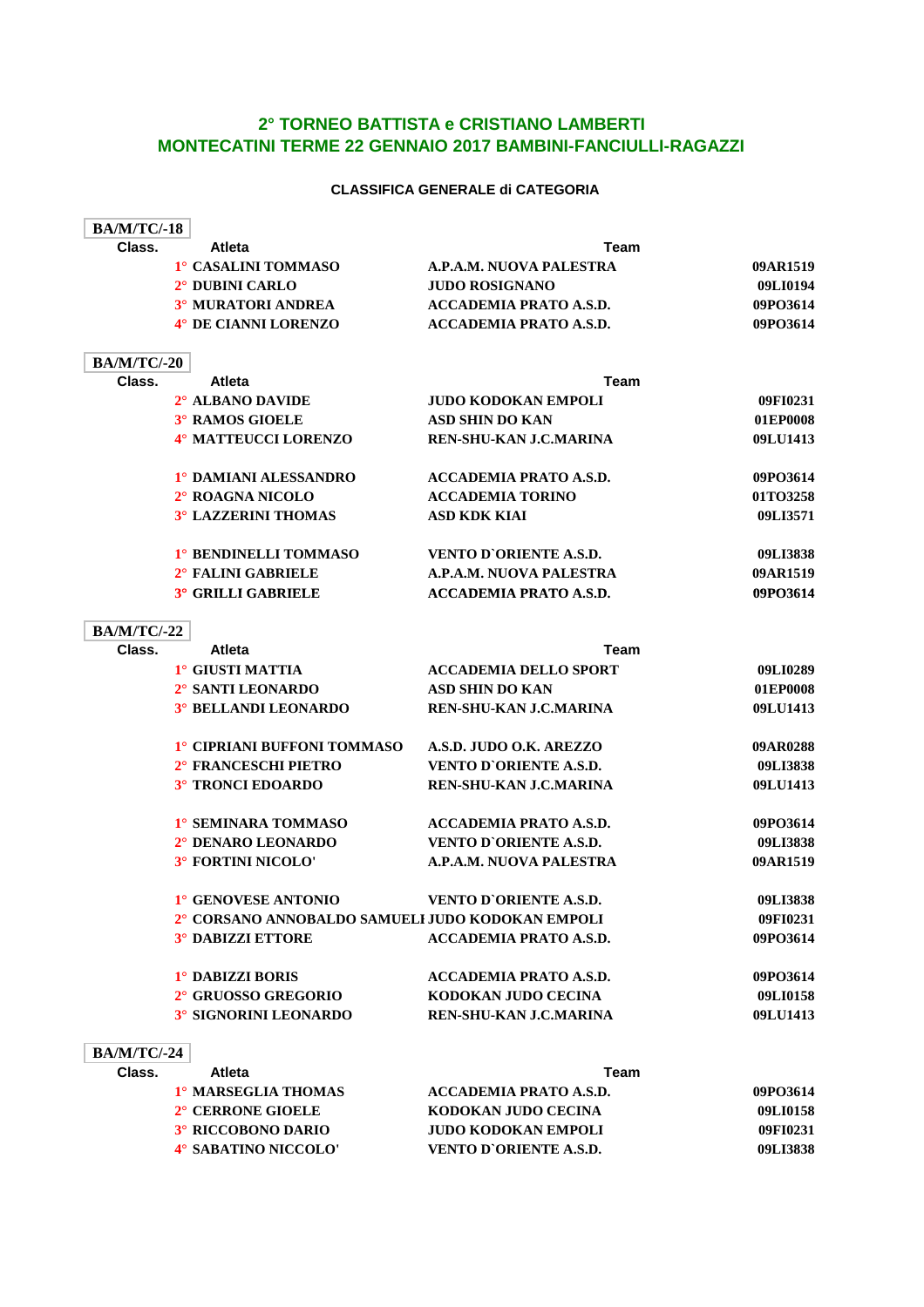## **2° TORNEO BATTISTA e CRISTIANO LAMBERTI MONTECATINI TERME 22 GENNAIO 2017 BAMBINI-FANCIULLI-RAGAZZI**

## **CLASSIFICA GENERALE di CATEGORIA**

| <b>BA/M/TC/-18</b> |                                                  |                               |          |
|--------------------|--------------------------------------------------|-------------------------------|----------|
| Class.             | Atleta                                           | Team                          |          |
|                    | 1° CASALINI TOMMASO                              | A.P.A.M. NUOVA PALESTRA       | 09AR1519 |
|                    | 2° DUBINI CARLO                                  | <b>JUDO ROSIGNANO</b>         | 09LI0194 |
|                    | <b>3° MURATORI ANDREA</b>                        | <b>ACCADEMIA PRATO A.S.D.</b> | 09PO3614 |
|                    | 4° DE CIANNI LORENZO                             | <b>ACCADEMIA PRATO A.S.D.</b> | 09PO3614 |
| <b>BA/M/TC/-20</b> |                                                  |                               |          |
| Class.             | <b>Atleta</b>                                    | <b>Team</b>                   |          |
|                    | 2° ALBANO DAVIDE                                 | <b>JUDO KODOKAN EMPOLI</b>    | 09FI0231 |
|                    | 3° RAMOS GIOELE                                  | <b>ASD SHIN DO KAN</b>        | 01EP0008 |
|                    | 4° MATTEUCCI LORENZO                             | REN-SHU-KAN J.C.MARINA        | 09LU1413 |
|                    | 1° DAMIANI ALESSANDRO                            | <b>ACCADEMIA PRATO A.S.D.</b> | 09PO3614 |
|                    | 2° ROAGNA NICOLO                                 | <b>ACCADEMIA TORINO</b>       | 01TO3258 |
|                    | <b>3° LAZZERINI THOMAS</b>                       | <b>ASD KDK KIAI</b>           | 09LI3571 |
|                    | 1° BENDINELLI TOMMASO                            | <b>VENTO D'ORIENTE A.S.D.</b> | 09LI3838 |
|                    | 2° FALINI GABRIELE                               | A.P.A.M. NUOVA PALESTRA       | 09AR1519 |
|                    | <b>3° GRILLI GABRIELE</b>                        | <b>ACCADEMIA PRATO A.S.D.</b> | 09PO3614 |
| <b>BA/M/TC/-22</b> |                                                  |                               |          |
| Class.             | Atleta                                           | Team                          |          |
|                    | 1° GIUSTI MATTIA                                 | <b>ACCADEMIA DELLO SPORT</b>  | 09LI0289 |
|                    | 2° SANTI LEONARDO                                | <b>ASD SHIN DO KAN</b>        | 01EP0008 |
|                    | 3° BELLANDI LEONARDO                             | REN-SHU-KAN J.C.MARINA        | 09LU1413 |
|                    | 1° CIPRIANI BUFFONI TOMMASO                      | A.S.D. JUDO O.K. AREZZO       | 09AR0288 |
|                    | 2° FRANCESCHI PIETRO                             | VENTO D'ORIENTE A.S.D.        | 09LI3838 |
|                    | 3° TRONCI EDOARDO                                | REN-SHU-KAN J.C.MARINA        | 09LU1413 |
|                    | 1° SEMINARA TOMMASO                              | ACCADEMIA PRATO A.S.D.        | 09PO3614 |
|                    | 2° DENARO LEONARDO                               | <b>VENTO D'ORIENTE A.S.D.</b> | 09LI3838 |
|                    | 3° FORTINI NICOLO'                               | A.P.A.M. NUOVA PALESTRA       | 09AR1519 |
|                    | 1° GENOVESE ANTONIO                              | <b>VENTO D'ORIENTE A.S.D.</b> | 09LI3838 |
|                    | 2° CORSANO ANNOBALDO SAMUELI JUDO KODOKAN EMPOLI |                               | 09FI0231 |
|                    | <b>3° DABIZZI ETTORE</b>                         | <b>ACCADEMIA PRATO A.S.D.</b> | 09PO3614 |
|                    | 1° DABIZZI BORIS                                 | <b>ACCADEMIA PRATO A.S.D.</b> | 09PO3614 |
|                    | 2° GRUOSSO GREGORIO                              | KODOKAN JUDO CECINA           | 09LI0158 |
|                    | 3° SIGNORINI LEONARDO                            | REN-SHU-KAN J.C.MARINA        | 09LU1413 |
| <b>BA/M/TC/-24</b> |                                                  |                               |          |
| Class.             | Atleta                                           | Team                          |          |
|                    | 1° MARSEGLIA THOMAS                              | <b>ACCADEMIA PRATO A.S.D.</b> | 09PO3614 |
|                    | 2° CERRONE GIOELE                                | KODOKAN JUDO CECINA           | 09LI0158 |
|                    | 3° RICCOBONO DARIO                               | <b>JUDO KODOKAN EMPOLI</b>    | 09FI0231 |
|                    | 4° SABATINO NICCOLO'                             | VENTO D'ORIENTE A.S.D.        | 09LI3838 |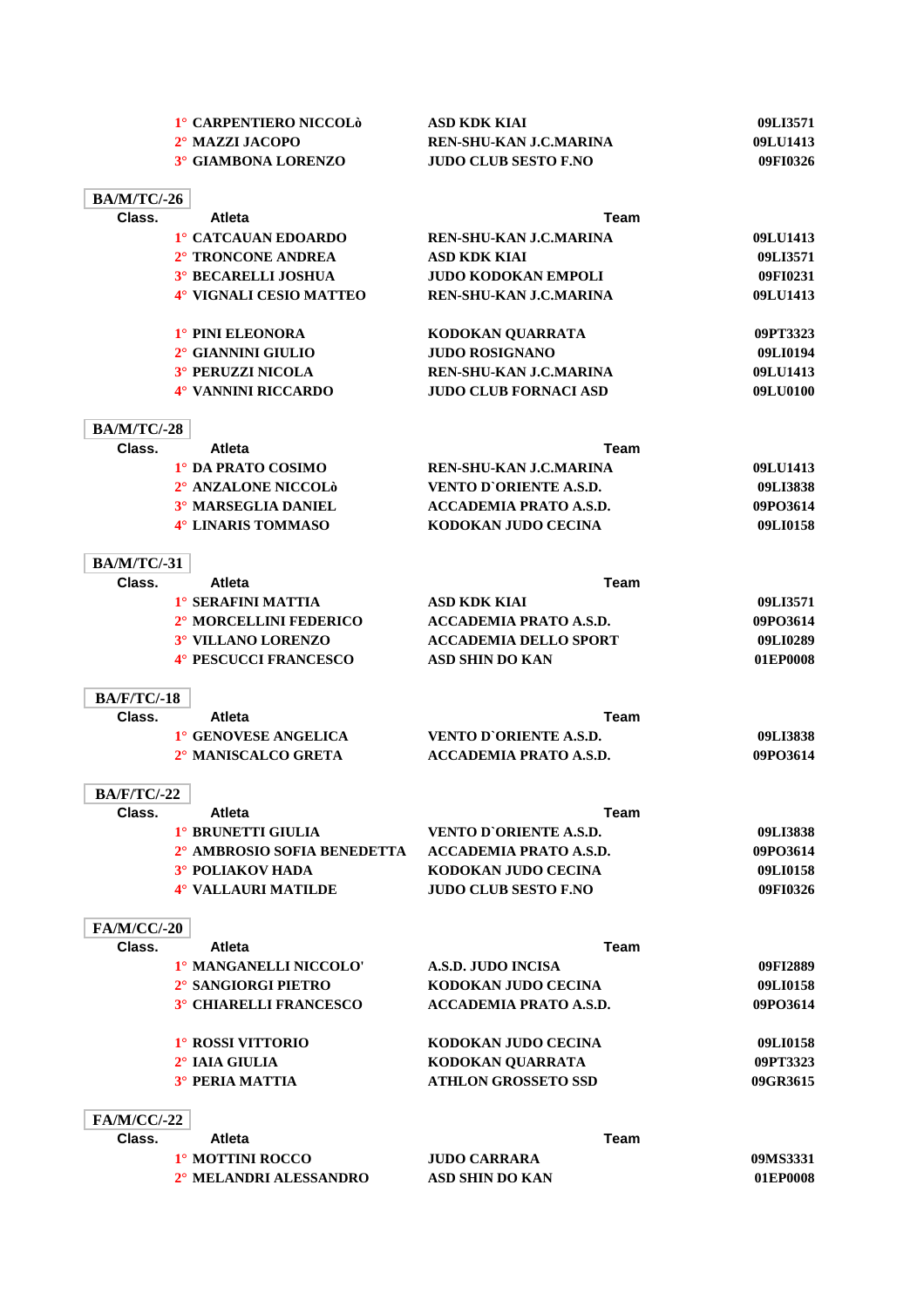|                    | 1° CARPENTIERO NICCOLÒ      | <b>ASD KDK KIAI</b>           | 09LI3571 |
|--------------------|-----------------------------|-------------------------------|----------|
|                    | 2° MAZZI JACOPO             | REN-SHU-KAN J.C.MARINA        | 09LU1413 |
|                    | 3° GIAMBONA LORENZO         | <b>JUDO CLUB SESTO F.NO</b>   | 09FI0326 |
|                    |                             |                               |          |
| <b>BA/M/TC/-26</b> |                             |                               |          |
| Class.             | <b>Atleta</b>               | Team                          |          |
|                    | 1° CATCAUAN EDOARDO         | REN-SHU-KAN J.C.MARINA        | 09LU1413 |
|                    | 2° TRONCONE ANDREA          | <b>ASD KDK KIAI</b>           | 09LI3571 |
|                    | 3° BECARELLI JOSHUA         | <b>JUDO KODOKAN EMPOLI</b>    | 09FI0231 |
|                    | 4° VIGNALI CESIO MATTEO     | REN-SHU-KAN J.C.MARINA        | 09LU1413 |
|                    | 1° PINI ELEONORA            | KODOKAN QUARRATA              | 09PT3323 |
|                    | 2° GIANNINI GIULIO          | <b>JUDO ROSIGNANO</b>         | 09LI0194 |
|                    | 3° PERUZZI NICOLA           | REN-SHU-KAN J.C.MARINA        | 09LU1413 |
|                    | 4° VANNINI RICCARDO         | <b>JUDO CLUB FORNACI ASD</b>  | 09LU0100 |
|                    |                             |                               |          |
| <b>BA/M/TC/-28</b> |                             |                               |          |
| Class.             | <b>Atleta</b>               | <b>Team</b>                   |          |
|                    | 1° DA PRATO COSIMO          | REN-SHU-KAN J.C.MARINA        | 09LU1413 |
|                    | 2° ANZALONE NICCOLÒ         | <b>VENTO D'ORIENTE A.S.D.</b> | 09LI3838 |
|                    | 3° MARSEGLIA DANIEL         | <b>ACCADEMIA PRATO A.S.D.</b> | 09PO3614 |
|                    | 4° LINARIS TOMMASO          | KODOKAN JUDO CECINA           | 09LI0158 |
| <b>BA/M/TC/-31</b> |                             |                               |          |
| Class.             | <b>Atleta</b>               | <b>Team</b>                   |          |
|                    | 1° SERAFINI MATTIA          | <b>ASD KDK KIAI</b>           | 09LI3571 |
|                    | 2° MORCELLINI FEDERICO      | ACCADEMIA PRATO A.S.D.        | 09PO3614 |
|                    | 3° VILLANO LORENZO          | <b>ACCADEMIA DELLO SPORT</b>  | 09LI0289 |
|                    | 4° PESCUCCI FRANCESCO       | <b>ASD SHIN DO KAN</b>        | 01EP0008 |
| <b>BA/F/TC/-18</b> |                             |                               |          |
| Class.             | <b>Atleta</b>               | Team                          |          |
|                    | 1° GENOVESE ANGELICA        | <b>VENTO D'ORIENTE A.S.D.</b> | 09LI3838 |
|                    | 2° MANISCALCO GRETA         | <b>ACCADEMIA PRATO A.S.D.</b> | 09PO3614 |
|                    |                             |                               |          |
| <b>BA/F/TC/-22</b> |                             |                               |          |
| Class.             | Atleta                      | Team                          |          |
|                    | 1° BRUNETTI GIULIA          | <b>VENTO D'ORIENTE A.S.D.</b> | 09LI3838 |
|                    | 2° AMBROSIO SOFIA BENEDETTA | <b>ACCADEMIA PRATO A.S.D.</b> | 09PO3614 |
|                    | 3° POLIAKOV HADA            | KODOKAN JUDO CECINA           | 09LI0158 |
|                    | 4° VALLAURI MATILDE         | <b>JUDO CLUB SESTO F.NO</b>   | 09FI0326 |
| <b>FA/M/CC/-20</b> |                             |                               |          |
| Class.             | <b>Atleta</b>               | Team                          |          |
|                    | 1° MANGANELLI NICCOLO'      | <b>A.S.D. JUDO INCISA</b>     | 09FI2889 |
|                    | 2° SANGIORGI PIETRO         | KODOKAN JUDO CECINA           | 09LI0158 |
|                    | 3° CHIARELLI FRANCESCO      | <b>ACCADEMIA PRATO A.S.D.</b> | 09PO3614 |
|                    | 1° ROSSI VITTORIO           | KODOKAN JUDO CECINA           | 09LI0158 |
|                    | $2^\circ$ IAIA GIULIA       | KODOKAN QUARRATA              | 09PT3323 |
|                    | <b>3° PERIA MATTIA</b>      | <b>ATHLON GROSSETO SSD</b>    | 09GR3615 |
|                    |                             |                               |          |
| <b>FA/M/CC/-22</b> |                             |                               |          |
| Class.             | <b>Atleta</b>               | Team                          |          |
|                    | 1° MOTTINI ROCCO            | <b>JUDO CARRARA</b>           | 09MS3331 |
|                    | 2° MELANDRI ALESSANDRO      | <b>ASD SHIN DO KAN</b>        | 01EP0008 |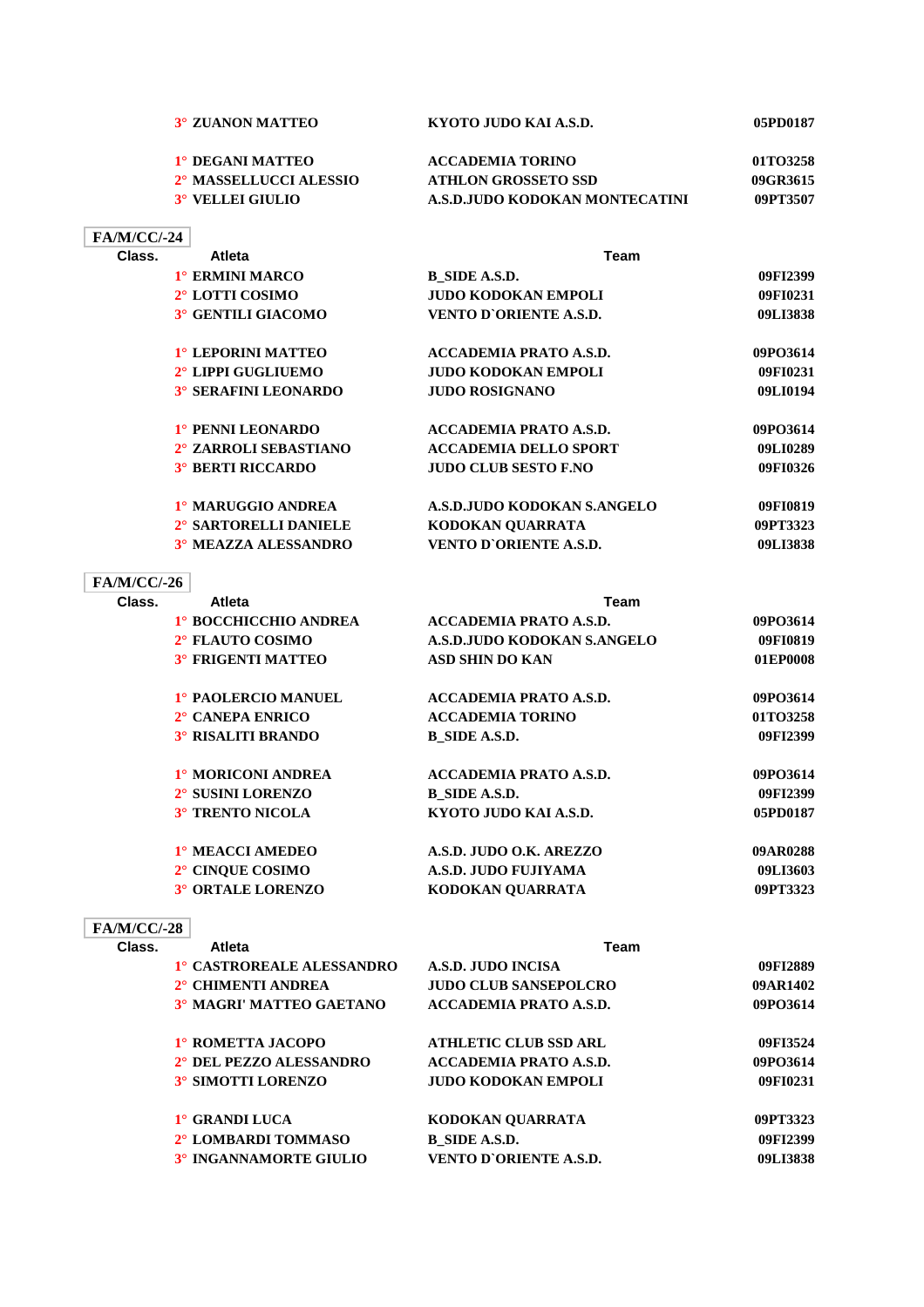|                    | 3° ZUANON MATTEO                  | KYOTO JUDO KAI A.S.D.          | 05PD0187 |
|--------------------|-----------------------------------|--------------------------------|----------|
|                    | 1° DEGANI MATTEO                  | <b>ACCADEMIA TORINO</b>        | 01TO3258 |
|                    | 2° MASSELLUCCI ALESSIO            | <b>ATHLON GROSSETO SSD</b>     | 09GR3615 |
|                    | 3° VELLEI GIULIO                  | A.S.D.JUDO KODOKAN MONTECATINI | 09PT3507 |
| <b>FA/M/CC/-24</b> |                                   |                                |          |
| Class.             | <b>Atleta</b>                     | <b>Team</b>                    |          |
|                    | 1° ERMINI MARCO                   | <b>B_SIDE A.S.D.</b>           | 09FI2399 |
|                    | 2° LOTTI COSIMO                   | <b>JUDO KODOKAN EMPOLI</b>     | 09FI0231 |
|                    | 3° GENTILI GIACOMO                | VENTO D'ORIENTE A.S.D.         | 09LI3838 |
|                    | 1° LEPORINI MATTEO                | <b>ACCADEMIA PRATO A.S.D.</b>  | 09PO3614 |
|                    | 2° LIPPI GUGLIUEMO                | JUDO KODOKAN EMPOLI            | 09FI0231 |
|                    | <b>3° SERAFINI LEONARDO</b>       | <b>JUDO ROSIGNANO</b>          | 09LI0194 |
|                    | 1° PENNI LEONARDO                 | <b>ACCADEMIA PRATO A.S.D.</b>  | 09PO3614 |
|                    | 2° ZARROLI SEBASTIANO             | <b>ACCADEMIA DELLO SPORT</b>   | 09LI0289 |
|                    | <b>3° BERTI RICCARDO</b>          | <b>JUDO CLUB SESTO F.NO</b>    | 09FI0326 |
|                    | 1º MARUGGIO ANDREA                | A.S.D.JUDO KODOKAN S.ANGELO    | 09FI0819 |
|                    | 2° SARTORELLI DANIELE             | KODOKAN QUARRATA               | 09PT3323 |
|                    | 3° MEAZZA ALESSANDRO              | VENTO D'ORIENTE A.S.D.         | 09LI3838 |
| <b>FA/M/CC/-26</b> |                                   |                                |          |
| Class.             | <b>Atleta</b>                     | Team                           |          |
|                    | 1° BOCCHICCHIO ANDREA             | <b>ACCADEMIA PRATO A.S.D.</b>  | 09PO3614 |
|                    | 2° FLAUTO COSIMO                  | A.S.D.JUDO KODOKAN S.ANGELO    | 09FI0819 |
|                    | 3° FRIGENTI MATTEO                | <b>ASD SHIN DO KAN</b>         | 01EP0008 |
|                    | 1º PAOLERCIO MANUEL               | <b>ACCADEMIA PRATO A.S.D.</b>  | 09PO3614 |
|                    | 2° CANEPA ENRICO                  | <b>ACCADEMIA TORINO</b>        | 01TO3258 |
|                    | <b>3° RISALITI BRANDO</b>         | <b>B_SIDE A.S.D.</b>           | 09FI2399 |
|                    | 1° MORICONI ANDREA                | ACCADEMIA PRATO A.S.D.         | 09PO3614 |
|                    | 2° SUSINI LORENZO                 | <b>B_SIDE A.S.D.</b>           | 09FI2399 |
|                    | 3° TRENTO NICOLA                  | KYOTO JUDO KAI A.S.D.          | 05PD0187 |
|                    | 1° MEACCI AMEDEO                  | A.S.D. JUDO O.K. AREZZO        | 09AR0288 |
|                    | 2° CINQUE COSIMO                  | A.S.D. JUDO FUJIYAMA           | 09LI3603 |
|                    | <b>3° ORTALE LORENZO</b>          | KODOKAN QUARRATA               | 09PT3323 |
| <b>FA/M/CC/-28</b> |                                   |                                |          |
| Class.             | <b>Atleta</b>                     | <b>Team</b>                    |          |
|                    | 1° CASTROREALE ALESSANDRO         | <b>A.S.D. JUDO INCISA</b>      | 09FI2889 |
|                    | 2° CHIMENTI ANDREA                | <b>JUDO CLUB SANSEPOLCRO</b>   | 09AR1402 |
|                    | 3° MAGRI' MATTEO GAETANO          | <b>ACCADEMIA PRATO A.S.D.</b>  | 09PO3614 |
|                    | 1° ROMETTA JACOPO                 | <b>ATHLETIC CLUB SSD ARL</b>   | 09FI3524 |
|                    | 2° DEL PEZZO ALESSANDRO           | ACCADEMIA PRATO A.S.D.         | 09PO3614 |
|                    | 3° SIMOTTI LORENZO                | <b>JUDO KODOKAN EMPOLI</b>     | 09FI0231 |
|                    | 1° GRANDI LUCA                    | KODOKAN QUARRATA               | 09PT3323 |
|                    | 2° LOMBARDI TOMMASO               | <b>B_SIDE A.S.D.</b>           | 09FI2399 |
|                    | <sup>3°</sup> INGANNAMORTE GIULIO | VENTO D'ORIENTE A.S.D.         | 09LI3838 |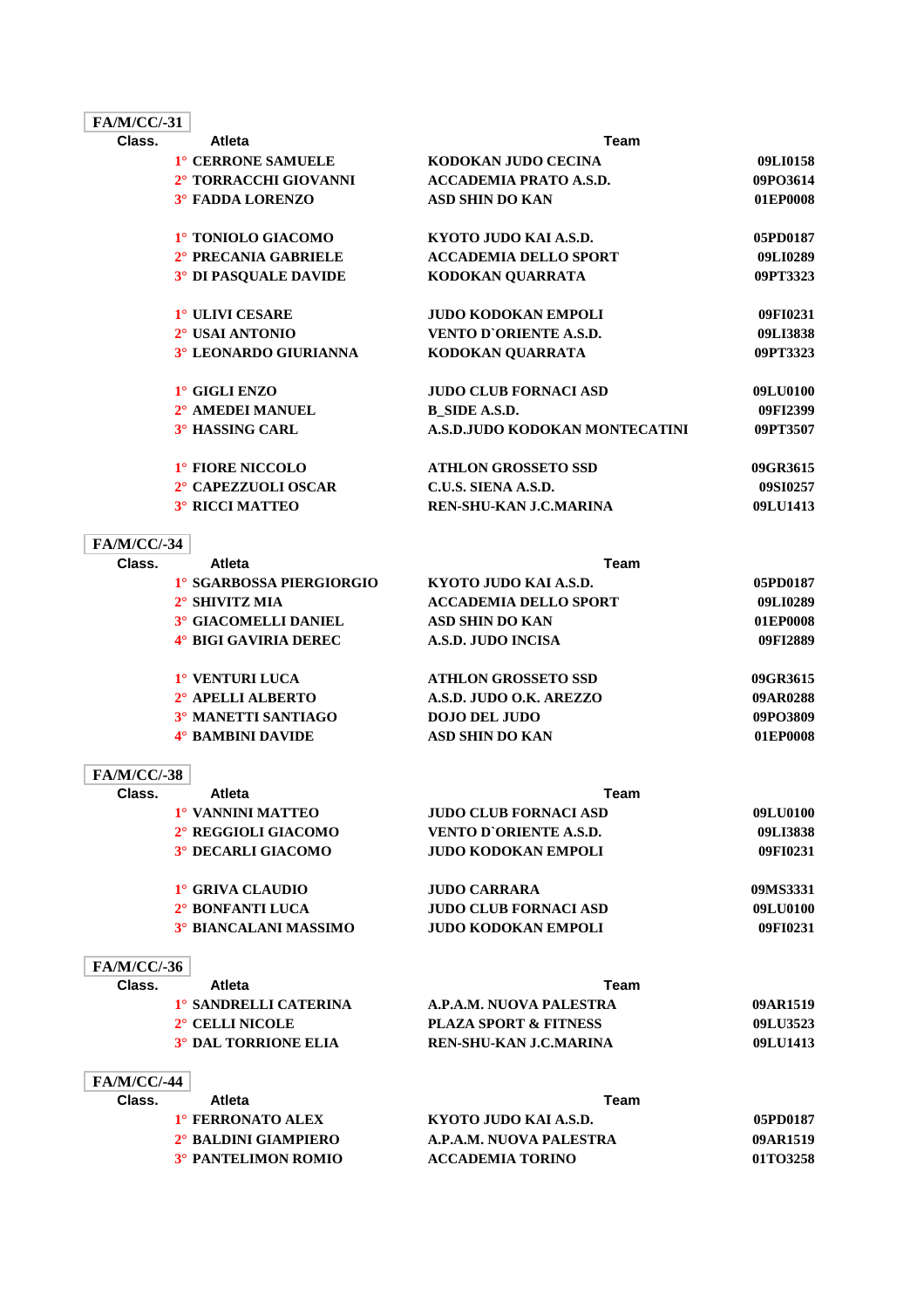| <b>FA/M/CC/-31</b> |                                  |                                  |          |
|--------------------|----------------------------------|----------------------------------|----------|
| Class.             | <b>Atleta</b>                    | Team                             |          |
|                    | 1° CERRONE SAMUELE               | KODOKAN JUDO CECINA              | 09LI0158 |
|                    | 2° TORRACCHI GIOVANNI            | <b>ACCADEMIA PRATO A.S.D.</b>    | 09PO3614 |
|                    | 3° FADDA LORENZO                 | <b>ASD SHIN DO KAN</b>           | 01EP0008 |
|                    | 1° TONIOLO GIACOMO               | KYOTO JUDO KAI A.S.D.            | 05PD0187 |
|                    | 2° PRECANIA GABRIELE             | <b>ACCADEMIA DELLO SPORT</b>     | 09LI0289 |
|                    | <sup>3°</sup> DI PASQUALE DAVIDE | KODOKAN QUARRATA                 | 09PT3323 |
|                    | 1° ULIVI CESARE                  | <b>JUDO KODOKAN EMPOLI</b>       | 09FI0231 |
|                    | 2° USAI ANTONIO                  | VENTO D'ORIENTE A.S.D.           | 09LI3838 |
|                    | 3° LEONARDO GIURIANNA            | KODOKAN QUARRATA                 | 09PT3323 |
|                    | 1° GIGLI ENZO                    | <b>JUDO CLUB FORNACI ASD</b>     | 09LU0100 |
|                    | 2° AMEDEI MANUEL                 | <b>B_SIDE A.S.D.</b>             | 09FI2399 |
|                    | <b>3° HASSING CARL</b>           | A.S.D.JUDO KODOKAN MONTECATINI   | 09PT3507 |
|                    | 1° FIORE NICCOLO                 | <b>ATHLON GROSSETO SSD</b>       | 09GR3615 |
|                    | 2° CAPEZZUOLI OSCAR              | C.U.S. SIENA A.S.D.              | 09SI0257 |
|                    | <b>3° RICCI MATTEO</b>           | <b>REN-SHU-KAN J.C.MARINA</b>    | 09LU1413 |
| <b>FA/M/CC/-34</b> |                                  |                                  |          |
| Class.             | <b>Atleta</b>                    | <b>Team</b>                      |          |
|                    | 1° SGARBOSSA PIERGIORGIO         | KYOTO JUDO KAI A.S.D.            | 05PD0187 |
|                    | 2° SHIVITZ MIA                   | <b>ACCADEMIA DELLO SPORT</b>     | 09LI0289 |
|                    | 3° GIACOMELLI DANIEL             | <b>ASD SHIN DO KAN</b>           | 01EP0008 |
|                    | 4° BIGI GAVIRIA DEREC            | <b>A.S.D. JUDO INCISA</b>        | 09FI2889 |
|                    | 1° VENTURI LUCA                  | <b>ATHLON GROSSETO SSD</b>       | 09GR3615 |
|                    | 2° APELLI ALBERTO                | A.S.D. JUDO O.K. AREZZO          | 09AR0288 |
|                    | 3° MANETTI SANTIAGO              | <b>DOJO DEL JUDO</b>             | 09PO3809 |
|                    | 4° BAMBINI DAVIDE                | <b>ASD SHIN DO KAN</b>           | 01EP0008 |
| <b>FA/M/CC/-38</b> |                                  |                                  |          |
| Class.             | <b>Atleta</b>                    | Team                             |          |
|                    | 1° VANNINI MATTEO                | <b>JUDO CLUB FORNACI ASD</b>     | 09LU0100 |
|                    | 2° REGGIOLI GIACOMO              | VENTO D'ORIENTE A.S.D.           | 09LI3838 |
|                    | 3° DECARLI GIACOMO               | <b>JUDO KODOKAN EMPOLI</b>       | 09FI0231 |
|                    | 1° GRIVA CLAUDIO                 | <b>JUDO CARRARA</b>              | 09MS3331 |
|                    | 2° BONFANTI LUCA                 | <b>JUDO CLUB FORNACI ASD</b>     | 09LU0100 |
|                    | 3° BIANCALANI MASSIMO            | <b>JUDO KODOKAN EMPOLI</b>       | 09FI0231 |
| <b>FA/M/CC/-36</b> |                                  |                                  |          |
| Class.             | Atleta                           | Team                             |          |
|                    | 1° SANDRELLI CATERINA            | A.P.A.M. NUOVA PALESTRA          | 09AR1519 |
|                    | 2° CELLI NICOLE                  | <b>PLAZA SPORT &amp; FITNESS</b> | 09LU3523 |
|                    | <b>3° DAL TORRIONE ELIA</b>      | REN-SHU-KAN J.C.MARINA           | 09LU1413 |
| <b>FA/M/CC/-44</b> |                                  |                                  |          |
| Class.             | <b>Atleta</b>                    | Team                             |          |
|                    | 1° FERRONATO ALEX                | KYOTO JUDO KAI A.S.D.            | 05PD0187 |
|                    | 2° BALDINI GIAMPIERO             | A.P.A.M. NUOVA PALESTRA          | 09AR1519 |
|                    | 3° PANTELIMON ROMIO              | <b>ACCADEMIA TORINO</b>          | 01TO3258 |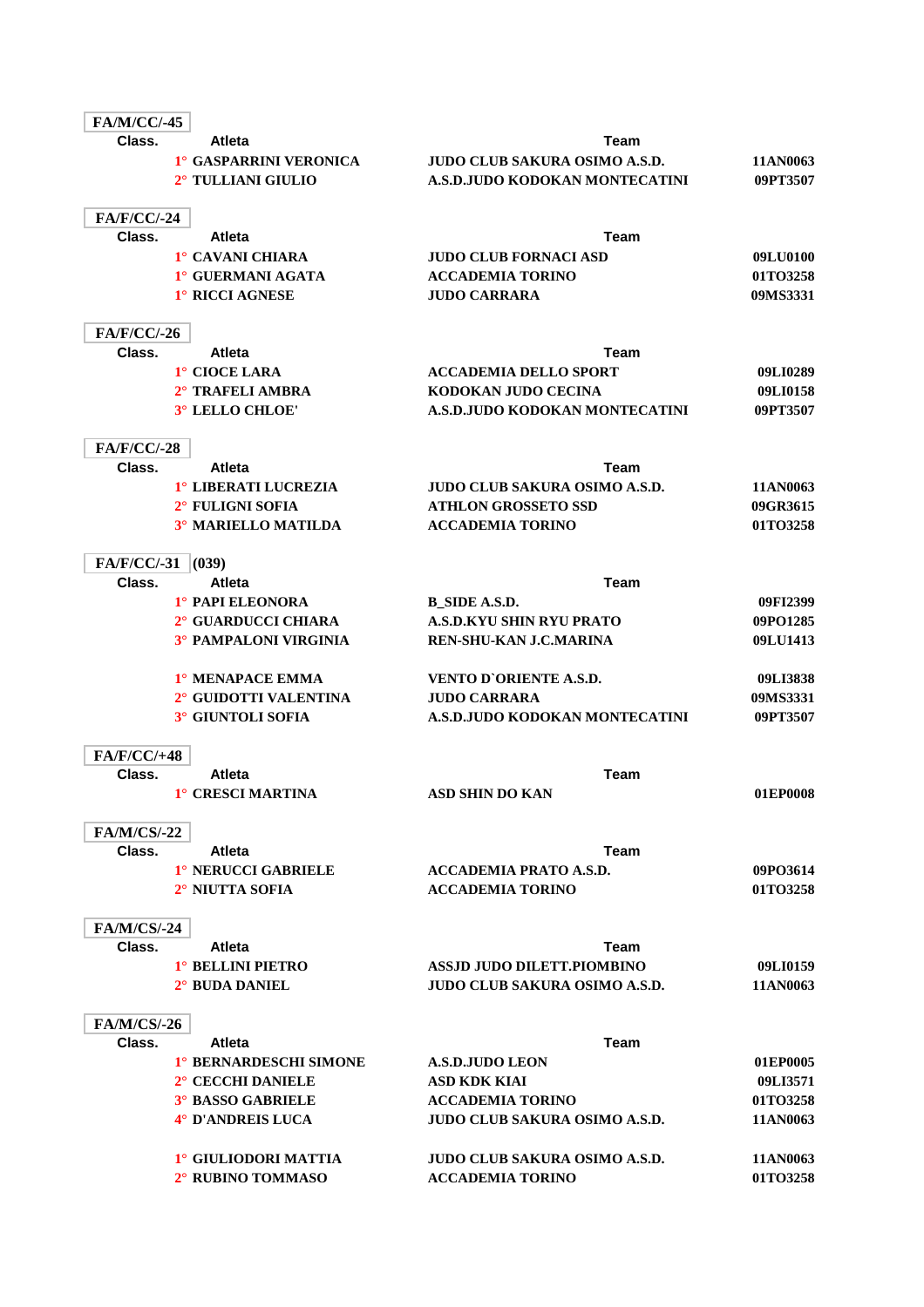| <b>FA/M/CC/-45</b>           |                                    |                                      |          |
|------------------------------|------------------------------------|--------------------------------------|----------|
| Class.                       | Atleta                             | Team                                 |          |
|                              | <sup>1</sup> ° GASPARRINI VERONICA | <b>JUDO CLUB SAKURA OSIMO A.S.D.</b> | 11AN0063 |
|                              | 2° TULLIANI GIULIO                 | A.S.D.JUDO KODOKAN MONTECATINI       | 09PT3507 |
|                              |                                    |                                      |          |
| <b>FA/F/CC/-24</b>           |                                    |                                      |          |
| Class.                       | <b>Atleta</b>                      | Team                                 |          |
|                              | 1° CAVANI CHIARA                   | <b>JUDO CLUB FORNACI ASD</b>         | 09LU0100 |
|                              | 1° GUERMANI AGATA                  | <b>ACCADEMIA TORINO</b>              | 01TO3258 |
|                              | 1° RICCI AGNESE                    | <b>JUDO CARRARA</b>                  | 09MS3331 |
| <b>FA/F/CC/-26</b>           |                                    |                                      |          |
| Class.                       | <b>Atleta</b>                      | Team                                 |          |
|                              | 1° CIOCE LARA                      | <b>ACCADEMIA DELLO SPORT</b>         | 09LI0289 |
|                              | 2° TRAFELI AMBRA                   | KODOKAN JUDO CECINA                  | 09LI0158 |
|                              | 3° LELLO CHLOE'                    | A.S.D.JUDO KODOKAN MONTECATINI       | 09PT3507 |
|                              |                                    |                                      |          |
| <b>FA/F/CC/-28</b>           |                                    |                                      |          |
| Class.                       | <b>Atleta</b>                      | Team                                 |          |
|                              | 1° LIBERATI LUCREZIA               | <b>JUDO CLUB SAKURA OSIMO A.S.D.</b> | 11AN0063 |
|                              | 2° FULIGNI SOFIA                   | <b>ATHLON GROSSETO SSD</b>           | 09GR3615 |
|                              | 3° MARIELLO MATILDA                | <b>ACCADEMIA TORINO</b>              | 01TO3258 |
| <b>FA/F/CC/-31</b>           | (039)                              |                                      |          |
| Class.                       | <b>Atleta</b>                      | <b>Team</b>                          |          |
|                              | 1° PAPI ELEONORA                   | <b>B_SIDE A.S.D.</b>                 | 09FI2399 |
|                              | 2° GUARDUCCI CHIARA                | <b>A.S.D.KYU SHIN RYU PRATO</b>      | 09PO1285 |
|                              | 3° PAMPALONI VIRGINIA              | REN-SHU-KAN J.C.MARINA               | 09LU1413 |
|                              |                                    |                                      |          |
|                              | 1° MENAPACE EMMA                   | VENTO D'ORIENTE A.S.D.               | 09LI3838 |
|                              | 2° GUIDOTTI VALENTINA              | <b>JUDO CARRARA</b>                  | 09MS3331 |
|                              | 3° GIUNTOLI SOFIA                  | A.S.D.JUDO KODOKAN MONTECATINI       | 09PT3507 |
|                              |                                    |                                      |          |
| <b>FA/F/CC/+48</b><br>Class. |                                    | <b>Team</b>                          |          |
|                              | <b>Atleta</b><br>1° CRESCI MARTINA | <b>ASD SHIN DO KAN</b>               | 01EP0008 |
|                              |                                    |                                      |          |
| <b>FA/M/CS/-22</b>           |                                    |                                      |          |
| Class.                       | Atleta                             | Team                                 |          |
|                              | 1° NERUCCI GABRIELE                | <b>ACCADEMIA PRATO A.S.D.</b>        | 09PO3614 |
|                              | 2° NIUTTA SOFIA                    | <b>ACCADEMIA TORINO</b>              | 01TO3258 |
|                              |                                    |                                      |          |
| <b>FA/M/CS/-24</b>           |                                    |                                      |          |
| Class.                       | <b>Atleta</b>                      | Team                                 |          |
|                              | 1° BELLINI PIETRO                  | <b>ASSJD JUDO DILETT.PIOMBINO</b>    | 09LI0159 |
|                              | 2° BUDA DANIEL                     | <b>JUDO CLUB SAKURA OSIMO A.S.D.</b> | 11AN0063 |
| <b>FA/M/CS/-26</b>           |                                    |                                      |          |
| Class.                       | <b>Atleta</b>                      | <b>Team</b>                          |          |
|                              | 1° BERNARDESCHI SIMONE             | <b>A.S.D.JUDO LEON</b>               | 01EP0005 |
|                              | 2° CECCHI DANIELE                  | <b>ASD KDK KIAI</b>                  | 09LI3571 |
|                              | <b>3° BASSO GABRIELE</b>           | <b>ACCADEMIA TORINO</b>              | 01TO3258 |
|                              | 4° D'ANDREIS LUCA                  | <b>JUDO CLUB SAKURA OSIMO A.S.D.</b> | 11AN0063 |
|                              |                                    |                                      |          |
|                              | 1° GIULIODORI MATTIA               | <b>JUDO CLUB SAKURA OSIMO A.S.D.</b> | 11AN0063 |
|                              | 2° RUBINO TOMMASO                  | <b>ACCADEMIA TORINO</b>              | 01TO3258 |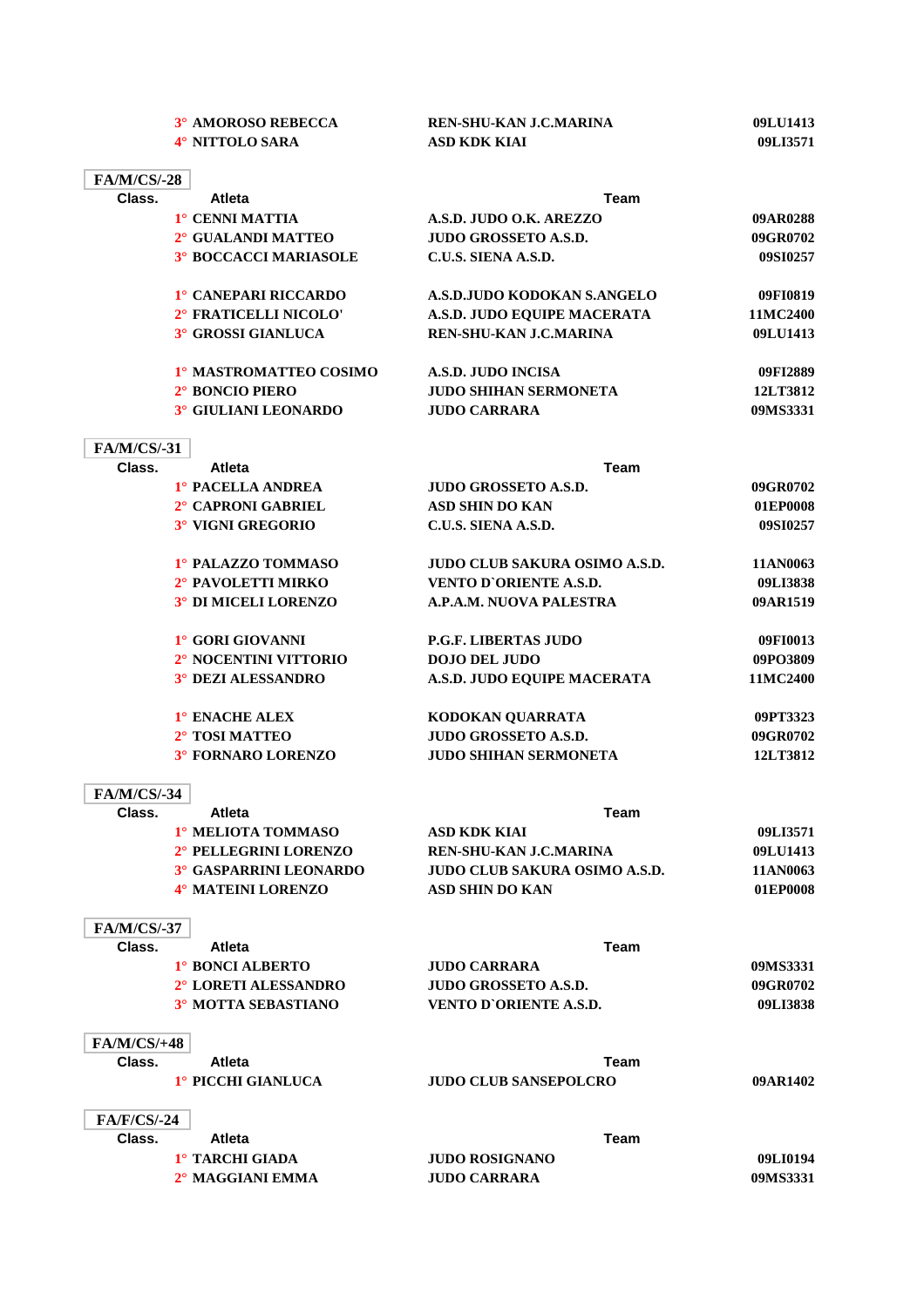|                              | 3° AMOROSO REBECCA            | <b>REN-SHU-KAN J.C.MARINA</b>        | 09LU1413 |
|------------------------------|-------------------------------|--------------------------------------|----------|
|                              | 4° NITTOLO SARA               | <b>ASD KDK KIAI</b>                  | 09LI3571 |
|                              |                               |                                      |          |
| <b>FA/M/CS/-28</b>           |                               |                                      |          |
| Class.                       | <b>Atleta</b>                 | <b>Team</b>                          |          |
|                              | 1° CENNI MATTIA               | A.S.D. JUDO O.K. AREZZO              | 09AR0288 |
|                              | 2° GUALANDI MATTEO            | <b>JUDO GROSSETO A.S.D.</b>          | 09GR0702 |
|                              | <b>3° BOCCACCI MARIASOLE</b>  | C.U.S. SIENA A.S.D.                  | 09SI0257 |
|                              | 1° CANEPARI RICCARDO          | A.S.D.JUDO KODOKAN S.ANGELO          | 09FI0819 |
|                              | 2° FRATICELLI NICOLO'         | A.S.D. JUDO EQUIPE MACERATA          | 11MC2400 |
|                              | 3° GROSSI GIANLUCA            | REN-SHU-KAN J.C.MARINA               | 09LU1413 |
|                              | 1º MASTROMATTEO COSIMO        | A.S.D. JUDO INCISA                   | 09FI2889 |
|                              | 2° BONCIO PIERO               | <b>JUDO SHIHAN SERMONETA</b>         | 12LT3812 |
|                              | 3° GIULIANI LEONARDO          | <b>JUDO CARRARA</b>                  | 09MS3331 |
| <b>FA/M/CS/-31</b>           |                               |                                      |          |
| Class.                       | Atleta                        | <b>Team</b>                          |          |
|                              | 1° PACELLA ANDREA             | <b>JUDO GROSSETO A.S.D.</b>          | 09GR0702 |
|                              | 2° CAPRONI GABRIEL            | <b>ASD SHIN DO KAN</b>               | 01EP0008 |
|                              | 3° VIGNI GREGORIO             | C.U.S. SIENA A.S.D.                  | 09SI0257 |
|                              | 1° PALAZZO TOMMASO            | <b>JUDO CLUB SAKURA OSIMO A.S.D.</b> | 11AN0063 |
|                              | 2° PAVOLETTI MIRKO            | VENTO D'ORIENTE A.S.D.               | 09LI3838 |
|                              | 3° DI MICELI LORENZO          | A.P.A.M. NUOVA PALESTRA              | 09AR1519 |
|                              |                               |                                      |          |
|                              | 1° GORI GIOVANNI              | <b>P.G.F. LIBERTAS JUDO</b>          | 09FI0013 |
|                              | 2° NOCENTINI VITTORIO         | <b>DOJO DEL JUDO</b>                 | 09PO3809 |
|                              | 3° DEZI ALESSANDRO            | A.S.D. JUDO EQUIPE MACERATA          | 11MC2400 |
|                              | 1° ENACHE ALEX                | KODOKAN QUARRATA                     | 09PT3323 |
|                              | 2° TOSI MATTEO                | <b>JUDO GROSSETO A.S.D.</b>          | 09GR0702 |
|                              | 3° FORNARO LORENZO            | <b>JUDO SHIHAN SERMONETA</b>         | 12LT3812 |
| <b>FA/M/CS/-34</b>           |                               |                                      |          |
| Class.                       | Atleta                        | Team                                 |          |
|                              | 1° MELIOTA TOMMASO            | <b>ASD KDK KIAI</b>                  | 09LI3571 |
|                              | 2° PELLEGRINI LORENZO         | REN-SHU-KAN J.C.MARINA               | 09LU1413 |
|                              | <b>3° GASPARRINI LEONARDO</b> | <b>JUDO CLUB SAKURA OSIMO A.S.D.</b> | 11AN0063 |
|                              | 4° MATEINI LORENZO            | <b>ASD SHIN DO KAN</b>               | 01EP0008 |
| <b>FA/M/CS/-37</b>           |                               |                                      |          |
| Class.                       | <b>Atleta</b>                 | <b>Team</b>                          |          |
|                              | 1° BONCI ALBERTO              | <b>JUDO CARRARA</b>                  | 09MS3331 |
|                              | 2° LORETI ALESSANDRO          | <b>JUDO GROSSETO A.S.D.</b>          | 09GR0702 |
|                              | 3° MOTTA SEBASTIANO           | <b>VENTO D'ORIENTE A.S.D.</b>        | 09LI3838 |
|                              |                               |                                      |          |
| <b>FA/M/CS/+48</b><br>Class. | <b>Atleta</b>                 | Team                                 |          |
|                              | 1° PICCHI GIANLUCA            |                                      |          |
|                              |                               | <b>JUDO CLUB SANSEPOLCRO</b>         | 09AR1402 |
| <b>FA/F/CS/-24</b>           |                               |                                      |          |
| Class.                       | <b>Atleta</b>                 | Team                                 |          |
|                              | 1° TARCHI GIADA               | <b>JUDO ROSIGNANO</b>                | 09LI0194 |
|                              | 2° MAGGIANI EMMA              | <b>JUDO CARRARA</b>                  | 09MS3331 |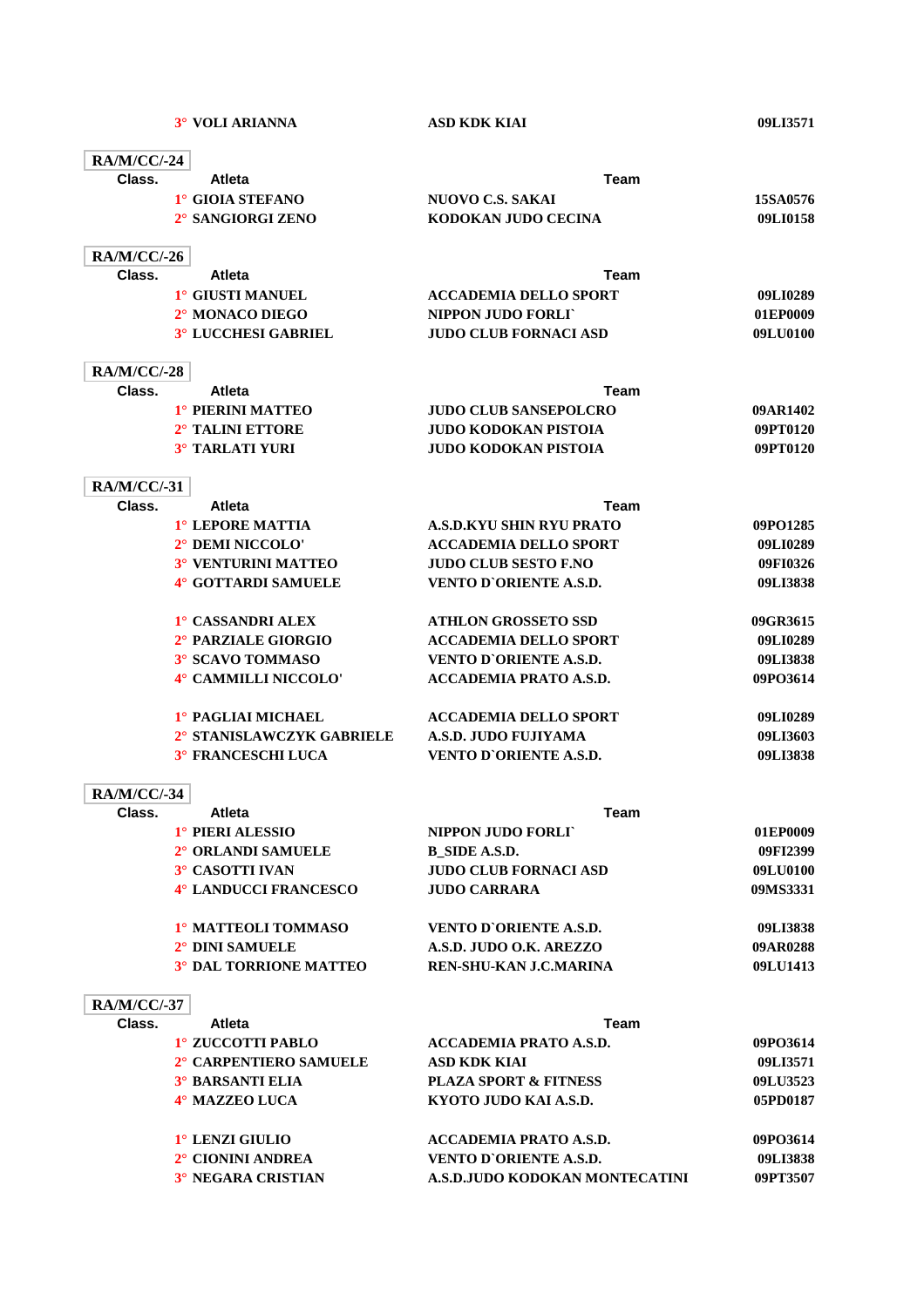| <b>RA/M/CC/-24</b> |                               |                                  |                   |
|--------------------|-------------------------------|----------------------------------|-------------------|
| Class.             | <b>Atleta</b>                 | Team                             |                   |
|                    | 1° GIOIA STEFANO              | <b>NUOVO C.S. SAKAI</b>          | 15SA0576          |
|                    | 2° SANGIORGI ZENO             | KODOKAN JUDO CECINA              | 09LI0158          |
| <b>RA/M/CC/-26</b> |                               |                                  |                   |
| Class.             | <b>Atleta</b>                 | Team                             |                   |
|                    | 1° GIUSTI MANUEL              | <b>ACCADEMIA DELLO SPORT</b>     | 09LI0289          |
|                    | 2° MONACO DIEGO               | NIPPON JUDO FORLT                | 01EP0009          |
|                    | 3° LUCCHESI GABRIEL           | <b>JUDO CLUB FORNACI ASD</b>     | 09LU0100          |
| <b>RA/M/CC/-28</b> |                               |                                  |                   |
| Class.             | <b>Atleta</b>                 | Team                             |                   |
|                    | 1° PIERINI MATTEO             | <b>JUDO CLUB SANSEPOLCRO</b>     | 09AR1402          |
|                    | 2° TALINI ETTORE              | JUDO KODOKAN PISTOIA             | 09PT0120          |
|                    | <b>3° TARLATI YURI</b>        | <b>JUDO KODOKAN PISTOIA</b>      | 09PT0120          |
| <b>RA/M/CC/-31</b> |                               |                                  |                   |
| Class.             | <b>Atleta</b>                 | Team                             |                   |
|                    | 1° LEPORE MATTIA              | A.S.D.KYU SHIN RYU PRATO         | 09PO1285          |
|                    | 2° DEMI NICCOLO'              | <b>ACCADEMIA DELLO SPORT</b>     | 09LI0289          |
|                    | 3° VENTURINI MATTEO           | <b>JUDO CLUB SESTO F.NO</b>      | 09FI0326          |
|                    | 4° GOTTARDI SAMUELE           | <b>VENTO D'ORIENTE A.S.D.</b>    | 09LI3838          |
|                    | 1° CASSANDRI ALEX             | <b>ATHLON GROSSETO SSD</b>       | 09GR3615          |
|                    | 2° PARZIALE GIORGIO           | <b>ACCADEMIA DELLO SPORT</b>     | 09LI0289          |
|                    | 3° SCAVO TOMMASO              | <b>VENTO D'ORIENTE A.S.D.</b>    | 09LI3838          |
|                    | 4° CAMMILLI NICCOLO'          | <b>ACCADEMIA PRATO A.S.D.</b>    | 09PO3614          |
|                    | 1° PAGLIAI MICHAEL            | <b>ACCADEMIA DELLO SPORT</b>     | 09LI0289          |
|                    | 2° STANISLAWCZYK GABRIELE     | A.S.D. JUDO FUJIYAMA             | 09LI3603          |
|                    | <sup>3°</sup> FRANCESCHI LUCA | <b>VENTO D'ORIENTE A.S.D.</b>    | 09LI3838          |
| <b>RA/M/CC/-34</b> |                               |                                  |                   |
| Class.             | Atleta                        | Team                             |                   |
|                    | 1° PIERI ALESSIO              | NIPPON JUDO FORLI                | 01EP0009          |
|                    | 2° ORLANDI SAMUELE            | <b>B_SIDE A.S.D.</b>             | 09FI2399          |
|                    | 3° CASOTTI IVAN               | <b>JUDO CLUB FORNACI ASD</b>     | 09LU0100          |
|                    | 4° LANDUCCI FRANCESCO         | <b>JUDO CARRARA</b>              | 09MS3331          |
|                    | 1º MATTEOLI TOMMASO           | <b>VENTO D'ORIENTE A.S.D.</b>    | 09LI3838          |
|                    | 2° DINI SAMUELE               | A.S.D. JUDO O.K. AREZZO          | 09AR0288          |
|                    | <b>3° DAL TORRIONE MATTEO</b> | <b>REN-SHU-KAN J.C.MARINA</b>    | 09LU1413          |
| <b>RA/M/CC/-37</b> |                               |                                  |                   |
| Class.             | <b>Atleta</b>                 | Team                             |                   |
|                    | 1° ZUCCOTTI PABLO             | <b>ACCADEMIA PRATO A.S.D.</b>    | 09PO3614          |
|                    | 2° CARPENTIERO SAMUELE        | <b>ASD KDK KIAI</b>              | 09LI3571          |
|                    | <b>3° BARSANTI ELIA</b>       | <b>PLAZA SPORT &amp; FITNESS</b> | 09LU3523          |
|                    | 4° MAZZEO LUCA                | KYOTO JUDO KAI A.S.D.            | 05PD0187          |
|                    | 10 I ENTI CHII IO             | ACCADEMIA DDATO A CD             | $00D\Omega\leq14$ |

**1° LENZI GIULIO ACCADEMIA PRATO A.S.D. 09PO3614 2° CIONINI ANDREA VENTO D`ORIENTE A.S.D. 09LI3838 3° NEGARA CRISTIAN A.S.D.JUDO KODOKAN MONTECATINI 09PT3507**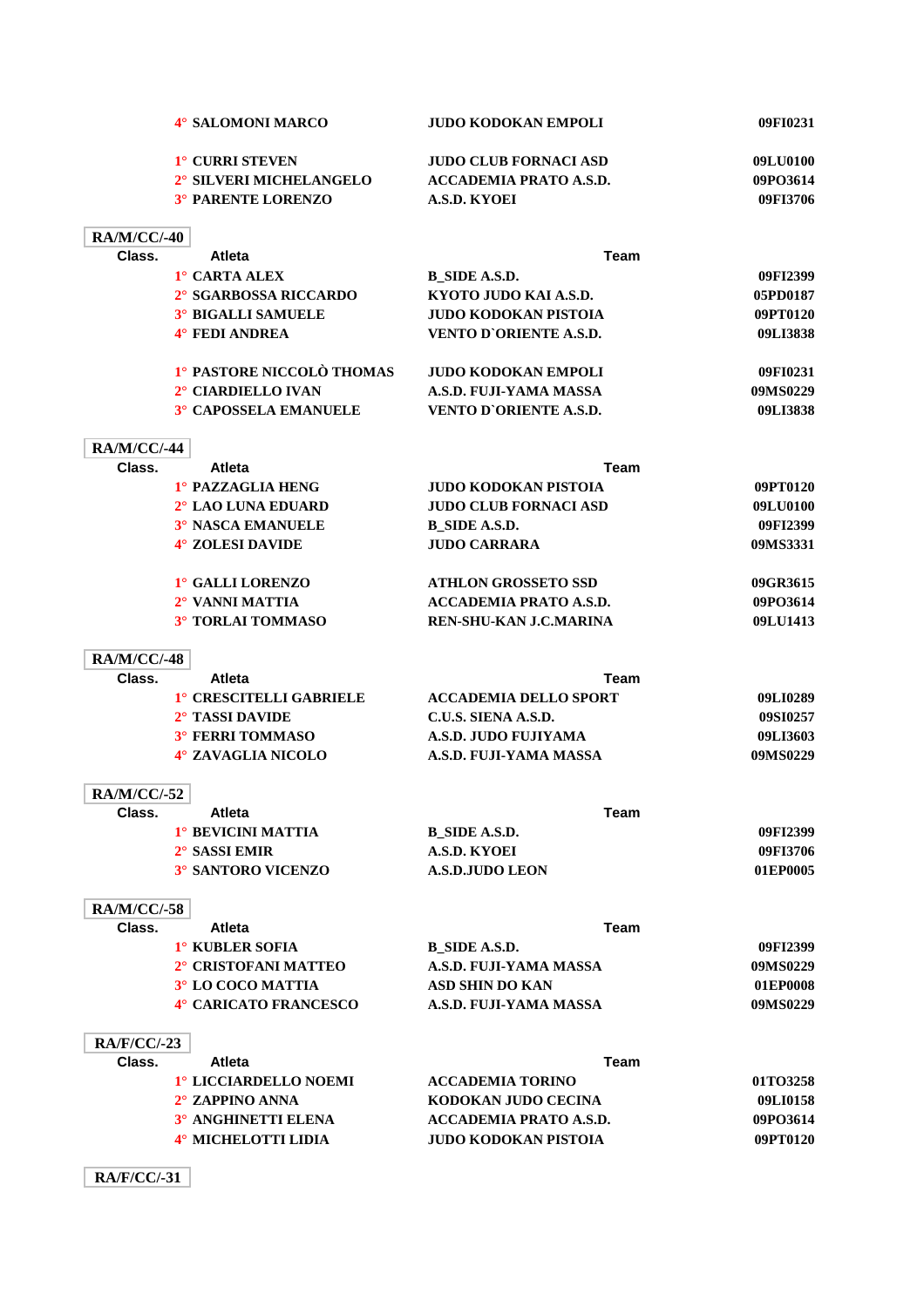|                    | 4° SALOMONI MARCO                                     | <b>JUDO KODOKAN EMPOLI</b>                            | 09FI0231             |
|--------------------|-------------------------------------------------------|-------------------------------------------------------|----------------------|
|                    | 1° CURRI STEVEN                                       | <b>JUDO CLUB FORNACI ASD</b>                          | 09LU0100             |
|                    | 2° SILVERI MICHELANGELO                               | <b>ACCADEMIA PRATO A.S.D.</b>                         | 09PO3614             |
|                    | <b>3° PARENTE LORENZO</b>                             | A.S.D. KYOEI                                          | 09FI3706             |
| <b>RA/M/CC/-40</b> |                                                       |                                                       |                      |
| Class.             | <b>Atleta</b>                                         | <b>Team</b>                                           |                      |
|                    | 1° CARTA ALEX                                         | <b>B_SIDE A.S.D.</b>                                  | 09FI2399             |
|                    | 2° SGARBOSSA RICCARDO                                 | KYOTO JUDO KAI A.S.D.                                 | 05PD0187             |
|                    | <b>3° BIGALLI SAMUELE</b>                             | <b>JUDO KODOKAN PISTOIA</b>                           | 09PT0120             |
|                    | 4° FEDI ANDREA                                        | VENTO D'ORIENTE A.S.D.                                | 09LI3838             |
|                    | 1° PASTORE NICCOLÒ THOMAS                             | <b>JUDO KODOKAN EMPOLI</b>                            | 09FI0231             |
|                    | 2° CIARDIELLO IVAN                                    | A.S.D. FUJI-YAMA MASSA                                | 09MS0229             |
|                    | <b>3° CAPOSSELA EMANUELE</b>                          | <b>VENTO D'ORIENTE A.S.D.</b>                         | 09LI3838             |
| <b>RA/M/CC/-44</b> |                                                       |                                                       |                      |
| Class.             | <b>Atleta</b>                                         | Team                                                  |                      |
|                    | 1° PAZZAGLIA HENG                                     | <b>JUDO KODOKAN PISTOIA</b>                           | 09PT0120             |
|                    | 2° LAO LUNA EDUARD                                    | <b>JUDO CLUB FORNACI ASD</b>                          | 09LU0100             |
|                    | 3° NASCA EMANUELE                                     | <b>B_SIDE A.S.D.</b>                                  | 09FI2399             |
|                    | 4° ZOLESI DAVIDE                                      | <b>JUDO CARRARA</b>                                   | 09MS3331             |
|                    | 1° GALLI LORENZO                                      | <b>ATHLON GROSSETO SSD</b>                            | 09GR3615             |
|                    | 2° VANNI MATTIA                                       | <b>ACCADEMIA PRATO A.S.D.</b>                         | 09PO3614             |
|                    | 3° TORLAI TOMMASO                                     | REN-SHU-KAN J.C.MARINA                                | 09LU1413             |
| <b>RA/M/CC/-48</b> |                                                       |                                                       |                      |
| Class.             | <b>Atleta</b>                                         | Team                                                  |                      |
|                    | 1° CRESCITELLI GABRIELE                               | <b>ACCADEMIA DELLO SPORT</b>                          | 09LI0289             |
|                    | 2° TASSI DAVIDE                                       | C.U.S. SIENA A.S.D.                                   | 09SI0257             |
|                    | 3° FERRI TOMMASO                                      | A.S.D. JUDO FUJIYAMA                                  | 09LI3603             |
|                    | 4° ZAVAGLIA NICOLO                                    | A.S.D. FUJI-YAMA MASSA                                | 09MS0229             |
| <b>RA/M/CC/-52</b> |                                                       |                                                       |                      |
| Class.             | Atleta                                                | Team                                                  |                      |
|                    | <sup>1</sup> ° BEVICINI MATTIA                        | <b>B_SIDE A.S.D.</b>                                  | 09FI2399             |
|                    | 2° SASSI EMIR                                         | A.S.D. KYOEI<br><b>A.S.D. JUDO LEON</b>               | 09FI3706             |
|                    | <b>3° SANTORO VICENZO</b>                             |                                                       | 01EP0005             |
| <b>RA/M/CC/-58</b> |                                                       |                                                       |                      |
| Class.             | <b>Atleta</b>                                         | <b>Team</b>                                           |                      |
|                    | 1° KUBLER SOFIA                                       | B SIDE A.S.D.                                         | 09FI2399             |
|                    | 2° CRISTOFANI MATTEO                                  | A.S.D. FUJI-YAMA MASSA                                | 09MS0229             |
|                    | 3° LO COCO MATTIA                                     | <b>ASD SHIN DO KAN</b>                                | 01EP0008             |
|                    | 4° CARICATO FRANCESCO                                 | A.S.D. FUJI-YAMA MASSA                                | 09MS0229             |
| <b>RA/F/CC/-23</b> |                                                       |                                                       |                      |
| Class.             | Atleta                                                | <b>Team</b>                                           |                      |
|                    | 1º LICCIARDELLO NOEMI                                 | <b>ACCADEMIA TORINO</b>                               | 01TO3258             |
|                    | 2° ZAPPINO ANNA                                       | KODOKAN JUDO CECINA                                   | 09LI0158             |
|                    |                                                       |                                                       |                      |
|                    | <sup>3°</sup> ANGHINETTI ELENA<br>4° MICHELOTTI LIDIA | <b>ACCADEMIA PRATO A.S.D.</b><br>JUDO KODOKAN PISTOIA | 09PO3614<br>09PT0120 |

**RA/F/CC/-31**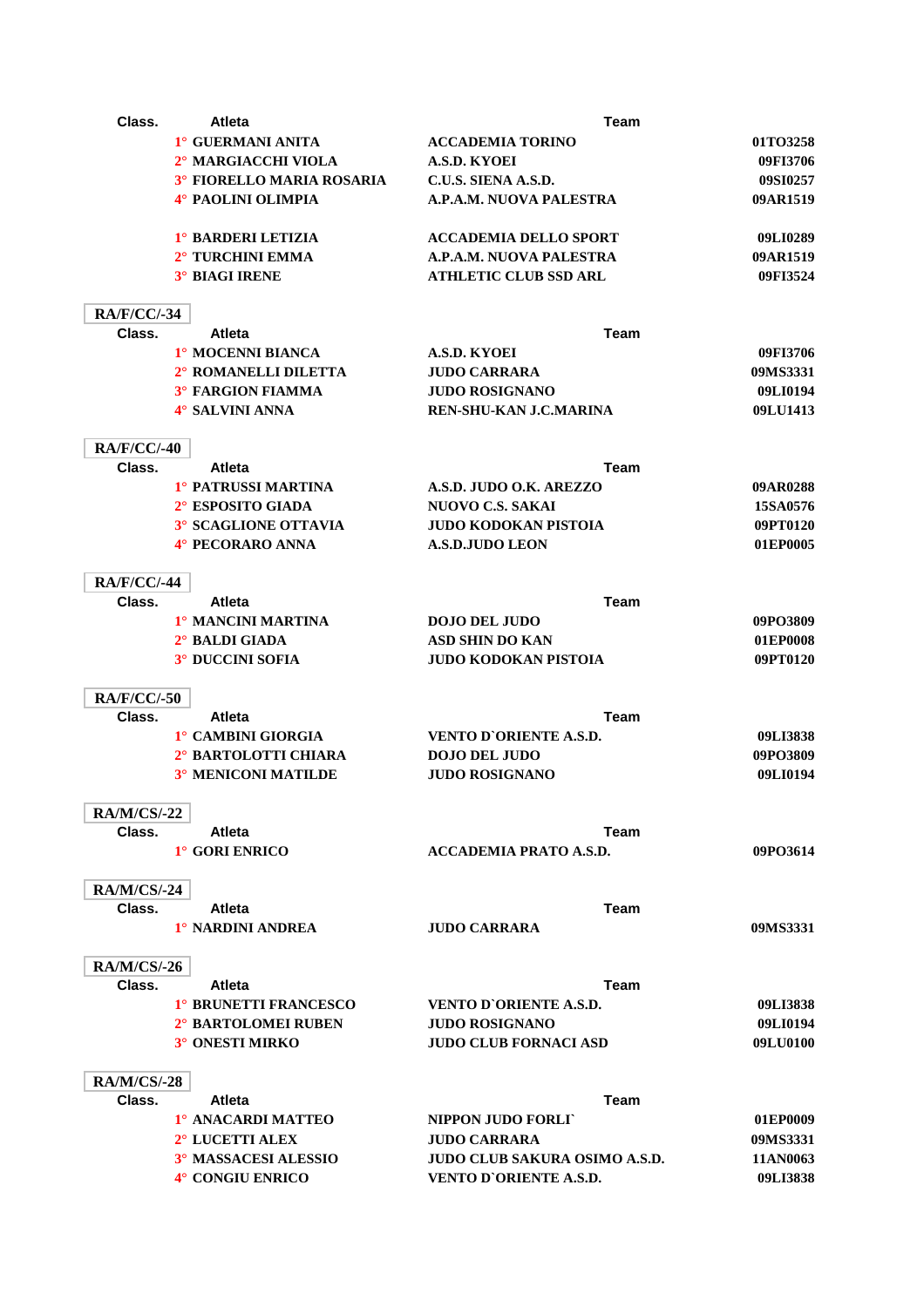| Class.             | Atleta                     | <b>Team</b>                          |          |
|--------------------|----------------------------|--------------------------------------|----------|
|                    | 1° GUERMANI ANITA          | <b>ACCADEMIA TORINO</b>              | 01TO3258 |
|                    | 2° MARGIACCHI VIOLA        | <b>A.S.D. KYOEI</b>                  | 09FI3706 |
|                    | 3° FIORELLO MARIA ROSARIA  | C.U.S. SIENA A.S.D.                  | 09SI0257 |
|                    | 4° PAOLINI OLIMPIA         | A.P.A.M. NUOVA PALESTRA              | 09AR1519 |
|                    | 1° BARDERI LETIZIA         | <b>ACCADEMIA DELLO SPORT</b>         | 09LI0289 |
|                    | 2° TURCHINI EMMA           | A.P.A.M. NUOVA PALESTRA              | 09AR1519 |
|                    | <b>3° BIAGI IRENE</b>      | <b>ATHLETIC CLUB SSD ARL</b>         | 09FI3524 |
| <b>RA/F/CC/-34</b> |                            |                                      |          |
| Class.             | <b>Atleta</b>              | <b>Team</b>                          |          |
|                    | 1° MOCENNI BIANCA          | A.S.D. KYOEI                         | 09FI3706 |
|                    | 2° ROMANELLI DILETTA       | <b>JUDO CARRARA</b>                  | 09MS3331 |
|                    | <b>3° FARGION FIAMMA</b>   | <b>JUDO ROSIGNANO</b>                | 09LI0194 |
|                    | 4° SALVINI ANNA            | REN-SHU-KAN J.C.MARINA               | 09LU1413 |
| <b>RA/F/CC/-40</b> |                            |                                      |          |
| Class.             | <b>Atleta</b>              | <b>Team</b>                          |          |
|                    | 1° PATRUSSI MARTINA        | A.S.D. JUDO O.K. AREZZO              | 09AR0288 |
|                    | 2° ESPOSITO GIADA          | <b>NUOVO C.S. SAKAI</b>              | 15SA0576 |
|                    | 3° SCAGLIONE OTTAVIA       | <b>JUDO KODOKAN PISTOIA</b>          | 09PT0120 |
|                    | 4° PECORARO ANNA           | <b>A.S.D.JUDO LEON</b>               | 01EP0005 |
| <b>RA/F/CC/-44</b> |                            |                                      |          |
| Class.             | <b>Atleta</b>              | <b>Team</b>                          |          |
|                    | 1° MANCINI MARTINA         | <b>DOJO DEL JUDO</b>                 | 09PO3809 |
|                    | 2° BALDI GIADA             | <b>ASD SHIN DO KAN</b>               | 01EP0008 |
|                    | <b>3° DUCCINI SOFIA</b>    | JUDO KODOKAN PISTOIA                 | 09PT0120 |
| <b>RA/F/CC/-50</b> |                            |                                      |          |
| Class.             | Atleta                     | Team                                 |          |
|                    | 1° CAMBINI GIORGIA         | <b>VENTO D'ORIENTE A.S.D.</b>        | 09LI3838 |
|                    | 2° BARTOLOTTI CHIARA       | <b>DOJO DEL JUDO</b>                 | 09PO3809 |
|                    | <b>3° MENICONI MATILDE</b> | <b>JUDO ROSIGNANO</b>                | 09LI0194 |
| <b>RA/M/CS/-22</b> |                            |                                      |          |
| Class.             | Atleta                     | Team                                 |          |
|                    | 1° GORI ENRICO             | <b>ACCADEMIA PRATO A.S.D.</b>        | 09PO3614 |
| <b>RA/M/CS/-24</b> |                            |                                      |          |
| Class.             | <b>Atleta</b>              | <b>Team</b>                          |          |
|                    | 1° NARDINI ANDREA          | <b>JUDO CARRARA</b>                  | 09MS3331 |
| <b>RA/M/CS/-26</b> |                            |                                      |          |
| Class.             | <b>Atleta</b>              | Team                                 |          |
|                    | 1° BRUNETTI FRANCESCO      | <b>VENTO D'ORIENTE A.S.D.</b>        | 09LI3838 |
|                    | 2° BARTOLOMEI RUBEN        | <b>JUDO ROSIGNANO</b>                | 09LI0194 |
|                    | 3° ONESTI MIRKO            | <b>JUDO CLUB FORNACI ASD</b>         | 09LU0100 |
| <b>RA/M/CS/-28</b> |                            |                                      |          |
| Class.             | <b>Atleta</b>              | <b>Team</b>                          |          |
|                    | 1º ANACARDI MATTEO         | NIPPON JUDO FORLI                    | 01EP0009 |
|                    | 2° LUCETTI ALEX            | <b>JUDO CARRARA</b>                  | 09MS3331 |
|                    | 3° MASSACESI ALESSIO       | <b>JUDO CLUB SAKURA OSIMO A.S.D.</b> | 11AN0063 |
|                    | 4° CONGIU ENRICO           | <b>VENTO D'ORIENTE A.S.D.</b>        | 09LI3838 |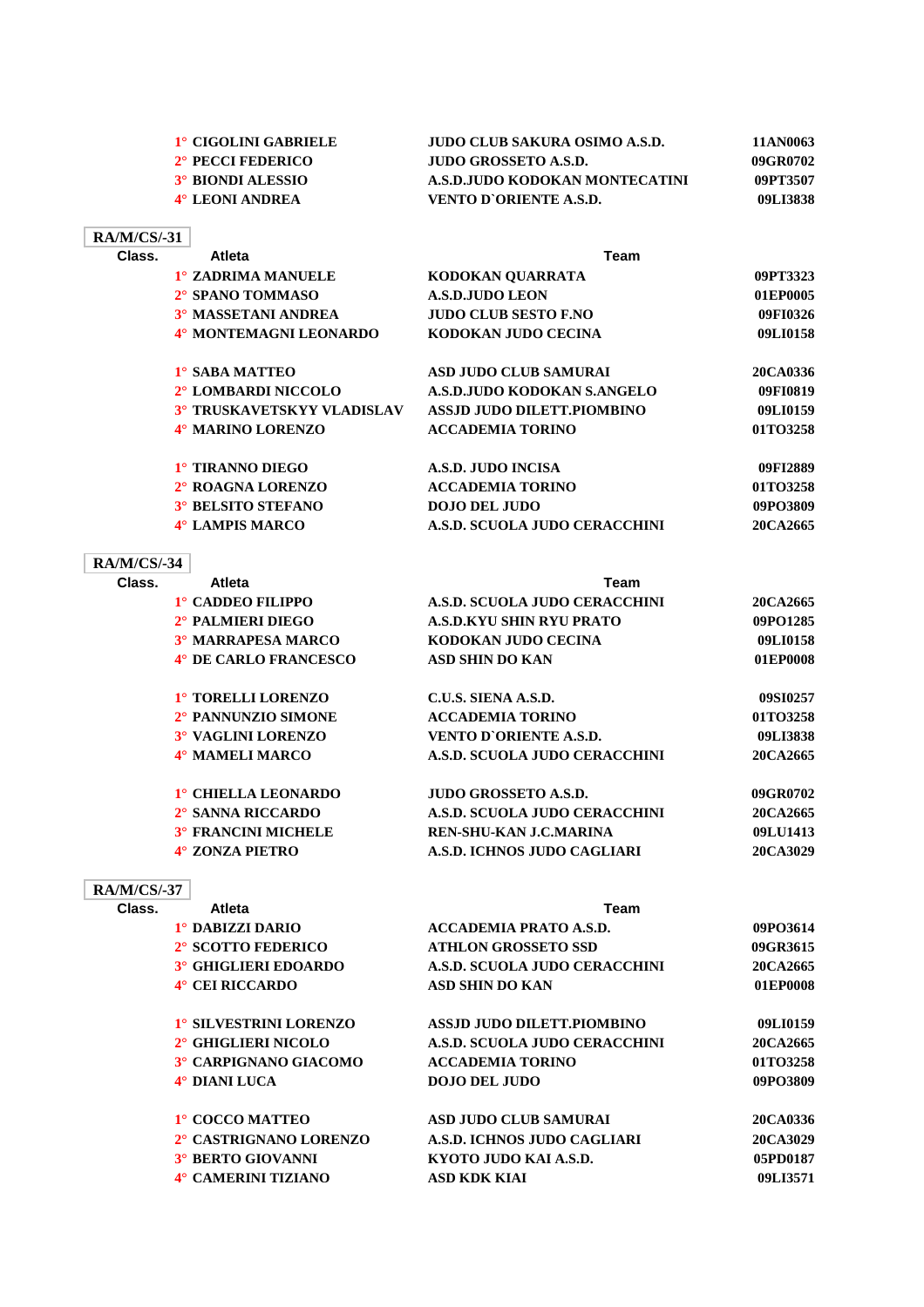| 1° CIGOLINI GABRIELE          | JUDO CLUB SAKURA OSIMO A.S.D.  | 11AN0063 |
|-------------------------------|--------------------------------|----------|
| 2 <sup>°</sup> PECCI FEDERICO | JUDO GROSSETO A.S.D.           | 09GR0702 |
| 3° BIONDI ALESSIO             | A.S.D.JUDO KODOKAN MONTECATINI | 09PT3507 |
| 4° LEONI ANDREA               | VENTO D`ORIENTE A.S.D.         | 09LI3838 |
|                               |                                |          |

| <b>RA/M/CS/-31</b> |
|--------------------|
|--------------------|

| Class. | <b>Atleta</b>                     | Team                              |          |
|--------|-----------------------------------|-----------------------------------|----------|
|        | 1° ZADRIMA MANUELE                | KODOKAN OUARRATA                  | 09PT3323 |
|        | 2° SPANO TOMMASO                  | <b>A.S.D.JUDO LEON</b>            | 01EP0005 |
|        | <b>3° MASSETANI ANDREA</b>        | <b>JUDO CLUB SESTO F.NO</b>       | 09FI0326 |
|        | 4° MONTEMAGNI LEONARDO            | KODOKAN JUDO CECINA               | 09LI0158 |
|        | 1° SABA MATTEO                    | <b>ASD JUDO CLUB SAMURAI</b>      | 20CA0336 |
|        | 2° LOMBARDI NICCOLO               | A.S.D.JUDO KODOKAN S.ANGELO       | 09FI0819 |
|        | <b>3° TRUSKAVETSKYY VLADISLAV</b> | <b>ASSJD JUDO DILETT.PIOMBINO</b> | 09LI0159 |
|        | 4° MARINO LORENZO                 | <b>ACCADEMIA TORINO</b>           | 01TO3258 |
|        | 1° TIRANNO DIEGO                  | A.S.D. JUDO INCISA                | 09FI2889 |
|        | 2° ROAGNA LORENZO                 | <b>ACCADEMIA TORINO</b>           | 01TO3258 |
|        | 3° BELSITO STEFANO                | <b>DOJO DEL JUDO</b>              | 09PO3809 |
|        | 4° LAMPIS MARCO                   | A.S.D. SCUOLA JUDO CERACCHINI     | 20CA2665 |

## **RA/M/CS/-34**

| Class.             | Atleta                      | Team                            |          |
|--------------------|-----------------------------|---------------------------------|----------|
|                    | 1° CADDEO FILIPPO           | A.S.D. SCUOLA JUDO CERACCHINI   | 20CA2665 |
|                    | 2° PALMIERI DIEGO           | <b>A.S.D.KYU SHIN RYU PRATO</b> | 09PO1285 |
|                    | <b>3° MARRAPESA MARCO</b>   | KODOKAN JUDO CECINA             | 09LI0158 |
|                    | 4° DE CARLO FRANCESCO       | <b>ASD SHIN DO KAN</b>          | 01EP0008 |
|                    | 1° TORELLI LORENZO          | C.U.S. SIENA A.S.D.             | 09SI0257 |
|                    | 2° PANNUNZIO SIMONE         | <b>ACCADEMIA TORINO</b>         | 01TO3258 |
|                    | 3° VAGLINI LORENZO          | <b>VENTO D'ORIENTE A.S.D.</b>   | 09LI3838 |
|                    | 4° MAMELI MARCO             | A.S.D. SCUOLA JUDO CERACCHINI   | 20CA2665 |
|                    | 1° CHIELLA LEONARDO         | <b>JUDO GROSSETO A.S.D.</b>     | 09GR0702 |
|                    | 2° SANNA RICCARDO           | A.S.D. SCUOLA JUDO CERACCHINI   | 20CA2665 |
|                    | <b>3° FRANCINI MICHELE</b>  | REN-SHU-KAN J.C.MARINA          | 09LU1413 |
|                    | 4° ZONZA PIETRO             | A.S.D. ICHNOS JUDO CAGLIARI     | 20CA3029 |
| <b>RA/M/CS/-37</b> |                             |                                 |          |
| Class.             | <b>Atleta</b>               | <b>Team</b>                     |          |
|                    | 1° DABIZZI DARIO            | <b>ACCADEMIA PRATO A.S.D.</b>   | 09PO3614 |
|                    | 2° SCOTTO FEDERICO          | <b>ATHLON GROSSETO SSD</b>      | 09GR3615 |
|                    | <b>3° GHIGLIERI EDOARDO</b> | A.S.D. SCUOLA JUDO CERACCHINI   | 20CA2665 |

**4° CEI RICCARDO ASD SHIN DO KAN 01EP0008**

**1° SILVESTRINI LORENZO ASSJD JUDO DILETT.PIOMBINO 09LI0159 2° GHIGLIERI NICOLO A.S.D. SCUOLA JUDO CERACCHINI 20CA2665 3° CARPIGNANO GIACOMO ACCADEMIA TORINO 01TO3258 4° DIANI LUCA DOJO DEL JUDO 09PO3809**

| 1° COCCO MATTEO        | ASD JUDO CLUB SAMURAI       | 20CA0336 |
|------------------------|-----------------------------|----------|
| 2° CASTRIGNANO LORENZO | A.S.D. ICHNOS JUDO CAGLIARI | 20CA3029 |
| 3° BERTO GIOVANNI      | KYOTO JUDO KAI A.S.D.       | 05PD0187 |
| 4° CAMERINI TIZIANO    | ASD KDK KIAI                | 09LI3571 |
|                        |                             |          |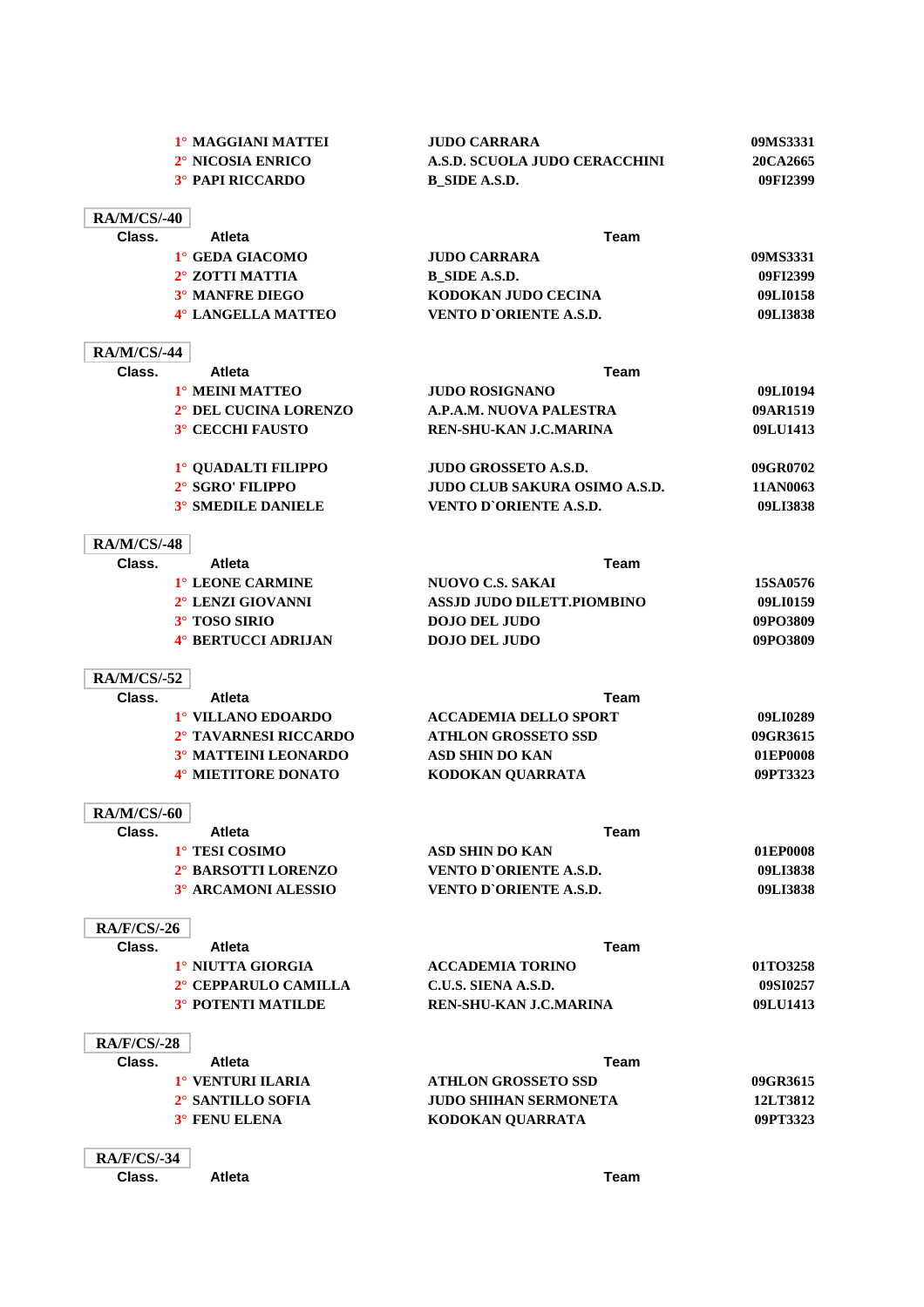|                              | 1° MAGGIANI MATTEI                                | <b>JUDO CARRARA</b>                                  | 09MS3331             |
|------------------------------|---------------------------------------------------|------------------------------------------------------|----------------------|
|                              | 2° NICOSIA ENRICO                                 | <b>A.S.D. SCUOLA JUDO CERACCHINI</b>                 | 20CA2665             |
|                              | <b>3° PAPI RICCARDO</b>                           | <b>B</b> SIDE A.S.D.                                 | 09FI2399             |
| <b>RA/M/CS/-40</b>           |                                                   |                                                      |                      |
| Class.                       | Atleta                                            | <b>Team</b>                                          |                      |
|                              | 1° GEDA GIACOMO                                   | <b>JUDO CARRARA</b>                                  | 09MS3331             |
|                              | <b>2° ZOTTI MATTIA</b>                            | <b>B_SIDE A.S.D.</b>                                 | 09FI2399             |
|                              | <b>3° MANFRE DIEGO</b>                            | KODOKAN JUDO CECINA                                  | 09LI0158             |
|                              | 4° LANGELLA MATTEO                                | VENTO D'ORIENTE A.S.D.                               | 09LI3838             |
|                              |                                                   |                                                      |                      |
| <b>RA/M/CS/-44</b>           |                                                   |                                                      |                      |
| Class.                       | Atleta                                            | <b>Team</b>                                          |                      |
|                              | 1° MEINI MATTEO                                   | <b>JUDO ROSIGNANO</b>                                | 09LI0194             |
|                              | 2° DEL CUCINA LORENZO                             | A.P.A.M. NUOVA PALESTRA                              | 09AR1519             |
|                              | 3° CECCHI FAUSTO                                  | REN-SHU-KAN J.C.MARINA                               | 09LU1413             |
|                              | <sup>1</sup> ° QUADALTI FILIPPO                   | JUDO GROSSETO A.S.D.                                 | 09GR0702             |
|                              | 2° SGRO' FILIPPO                                  | JUDO CLUB SAKURA OSIMO A.S.D.                        | 11AN0063             |
|                              | <b>3° SMEDILE DANIELE</b>                         | VENTO D'ORIENTE A.S.D.                               | 09LI3838             |
| <b>RA/M/CS/-48</b>           |                                                   |                                                      |                      |
| Class.                       | <b>Atleta</b>                                     | <b>Team</b>                                          |                      |
|                              | 1° LEONE CARMINE                                  | <b>NUOVO C.S. SAKAI</b>                              | 15SA0576             |
|                              | 2° LENZI GIOVANNI                                 | ASSJD JUDO DILETT.PIOMBINO                           | 09LI0159             |
|                              | 3° TOSO SIRIO                                     | <b>DOJO DEL JUDO</b>                                 | 09PO3809             |
|                              | 4° BERTUCCI ADRIJAN                               | <b>DOJO DEL JUDO</b>                                 | 09PO3809             |
|                              |                                                   |                                                      |                      |
| <b>RA/M/CS/-52</b><br>Class. | <b>Atleta</b>                                     | Team                                                 |                      |
|                              | 1° VILLANO EDOARDO                                | <b>ACCADEMIA DELLO SPORT</b>                         | 09LI0289             |
|                              | 2° TAVARNESI RICCARDO                             | <b>ATHLON GROSSETO SSD</b>                           | 09GR3615             |
|                              | 3° MATTEINI LEONARDO                              | ASD SHIN DO KAN                                      | 01EP0008             |
|                              | 4° MIETITORE DONATO                               | KODOKAN QUARRATA                                     | 09PT3323             |
| <b>RA/M/CS/-60</b>           |                                                   |                                                      |                      |
| Class.                       | <b>Atleta</b>                                     | <b>Team</b>                                          |                      |
|                              | 1° TESI COSIMO                                    | ASD SHIN DO KAN                                      | 01EP0008             |
|                              | 2° BARSOTTI LORENZO                               | <b>VENTO D'ORIENTE A.S.D.</b>                        | 09LI3838             |
|                              | 3° ARCAMONI ALESSIO                               | <b>VENTO D'ORIENTE A.S.D.</b>                        | 09LI3838             |
|                              |                                                   |                                                      |                      |
| <b>RA/F/CS/-26</b>           |                                                   |                                                      |                      |
| Class.                       | <b>Atleta</b><br>1° NIUTTA GIORGIA                | Team                                                 |                      |
|                              |                                                   | <b>ACCADEMIA TORINO</b>                              | 01TO3258             |
|                              | 2° CEPPARULO CAMILLA<br><b>3° POTENTI MATILDE</b> | C.U.S. SIENA A.S.D.<br><b>REN-SHU-KAN J.C.MARINA</b> | 09SI0257<br>09LU1413 |
|                              |                                                   |                                                      |                      |
| <b>RA/F/CS/-28</b>           |                                                   |                                                      |                      |
| Class.                       | <b>Atleta</b>                                     | Team                                                 |                      |
|                              | <sup>1</sup> ° VENTURI ILARIA                     | <b>ATHLON GROSSETO SSD</b>                           | 09GR3615             |
|                              | 2° SANTILLO SOFIA                                 | <b>JUDO SHIHAN SERMONETA</b>                         | 12LT3812             |
|                              | 3° FENU ELENA                                     | KODOKAN QUARRATA                                     | 09PT3323             |
| <b>RA/F/CS/-34</b>           |                                                   |                                                      |                      |
| Class.                       | <b>Atleta</b>                                     | <b>Team</b>                                          |                      |